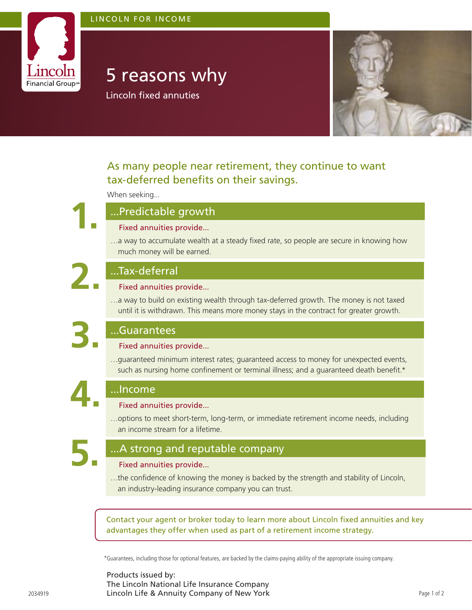### LINCOLN FOR INCOME



# 5 reasons why

Lincoln fixed annuties



# As many people near retirement, they continue to want tax-deferred benefits on their savings.

When seeking...



## ...Predictable growth

#### Fixed annuities provide...

…a way to accumulate wealth at a steady fixed rate, so people are secure in knowing how much money will be earned.



# ...Tax-deferral

#### Fixed annuities provide...

…a way to build on existing wealth through tax-deferred growth. The money is not taxed until it is withdrawn. This means more money stays in the contract for greater growth.

# ...Guarantees

...Income

#### Fixed annuities provide...

…guaranteed minimum interest rates; guaranteed access to money for unexpected events, such as nursing home confinement or terminal illness; and a quaranteed death benefit. $*$ 

# Fixed annuities provide...

…options to meet short-term, long-term, or immediate retirement income needs, including an income stream for a lifetime.

# ...A strong and reputable company

### Fixed annuities provide...

…the confidence of knowing the money is backed by the strength and stability of Lincoln, an industry-leading insurance company you can trust.

Contact your agent or broker today to learn more about Lincoln fixed annuities and key advantages they offer when used as part of a retirement income strategy.

\*Guarantees, including those for optional features, are backed by the claims-paying ability of the appropriate issuing company.

Products issued by: The Lincoln National Life Insurance Company 2034919 **Lincoln Life & Annuity Company of New York** Page 1 of 2